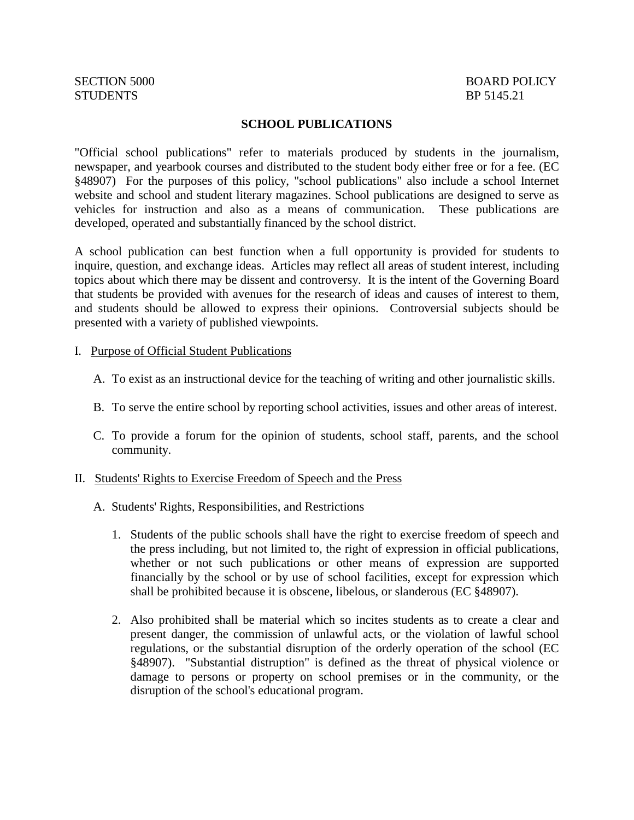# STUDENTS BP 5145.21

## SECTION 5000 BOARD POLICY

#### **SCHOOL PUBLICATIONS**

"Official school publications" refer to materials produced by students in the journalism, newspaper, and yearbook courses and distributed to the student body either free or for a fee. (EC §48907) For the purposes of this policy, "school publications" also include a school Internet website and school and student literary magazines. School publications are designed to serve as vehicles for instruction and also as a means of communication. These publications are developed, operated and substantially financed by the school district.

A school publication can best function when a full opportunity is provided for students to inquire, question, and exchange ideas. Articles may reflect all areas of student interest, including topics about which there may be dissent and controversy. It is the intent of the Governing Board that students be provided with avenues for the research of ideas and causes of interest to them, and students should be allowed to express their opinions. Controversial subjects should be presented with a variety of published viewpoints.

#### I. Purpose of Official Student Publications

- A. To exist as an instructional device for the teaching of writing and other journalistic skills.
- B. To serve the entire school by reporting school activities, issues and other areas of interest.
- C. To provide a forum for the opinion of students, school staff, parents, and the school community.

#### II. Students' Rights to Exercise Freedom of Speech and the Press

- A. Students' Rights, Responsibilities, and Restrictions
	- 1. Students of the public schools shall have the right to exercise freedom of speech and the press including, but not limited to, the right of expression in official publications, whether or not such publications or other means of expression are supported financially by the school or by use of school facilities, except for expression which shall be prohibited because it is obscene, libelous, or slanderous (EC §48907).
	- 2. Also prohibited shall be material which so incites students as to create a clear and present danger, the commission of unlawful acts, or the violation of lawful school regulations, or the substantial disruption of the orderly operation of the school (EC §48907). "Substantial distruption" is defined as the threat of physical violence or damage to persons or property on school premises or in the community, or the disruption of the school's educational program.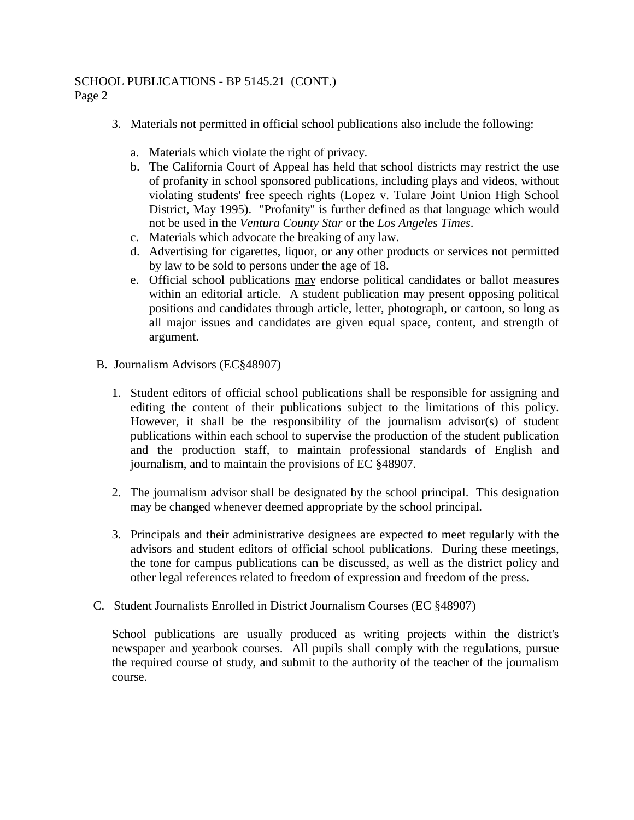## SCHOOL PUBLICATIONS - BP 5145.21 (CONT.)

Page 2

- 3. Materials not permitted in official school publications also include the following:
	- a. Materials which violate the right of privacy.
	- b. The California Court of Appeal has held that school districts may restrict the use of profanity in school sponsored publications, including plays and videos, without violating students' free speech rights (Lopez v. Tulare Joint Union High School District, May 1995). "Profanity" is further defined as that language which would not be used in the *Ventura County Star* or the *Los Angeles Times*.
	- c. Materials which advocate the breaking of any law.
	- d. Advertising for cigarettes, liquor, or any other products or services not permitted by law to be sold to persons under the age of 18.
	- e. Official school publications may endorse political candidates or ballot measures within an editorial article. A student publication may present opposing political positions and candidates through article, letter, photograph, or cartoon, so long as all major issues and candidates are given equal space, content, and strength of argument.
- B. Journalism Advisors (EC§48907)
	- 1. Student editors of official school publications shall be responsible for assigning and editing the content of their publications subject to the limitations of this policy. However, it shall be the responsibility of the journalism advisor(s) of student publications within each school to supervise the production of the student publication and the production staff, to maintain professional standards of English and journalism, and to maintain the provisions of EC §48907.
	- 2. The journalism advisor shall be designated by the school principal. This designation may be changed whenever deemed appropriate by the school principal.
	- 3. Principals and their administrative designees are expected to meet regularly with the advisors and student editors of official school publications. During these meetings, the tone for campus publications can be discussed, as well as the district policy and other legal references related to freedom of expression and freedom of the press.
- C. Student Journalists Enrolled in District Journalism Courses (EC §48907)

School publications are usually produced as writing projects within the district's newspaper and yearbook courses. All pupils shall comply with the regulations, pursue the required course of study, and submit to the authority of the teacher of the journalism course.